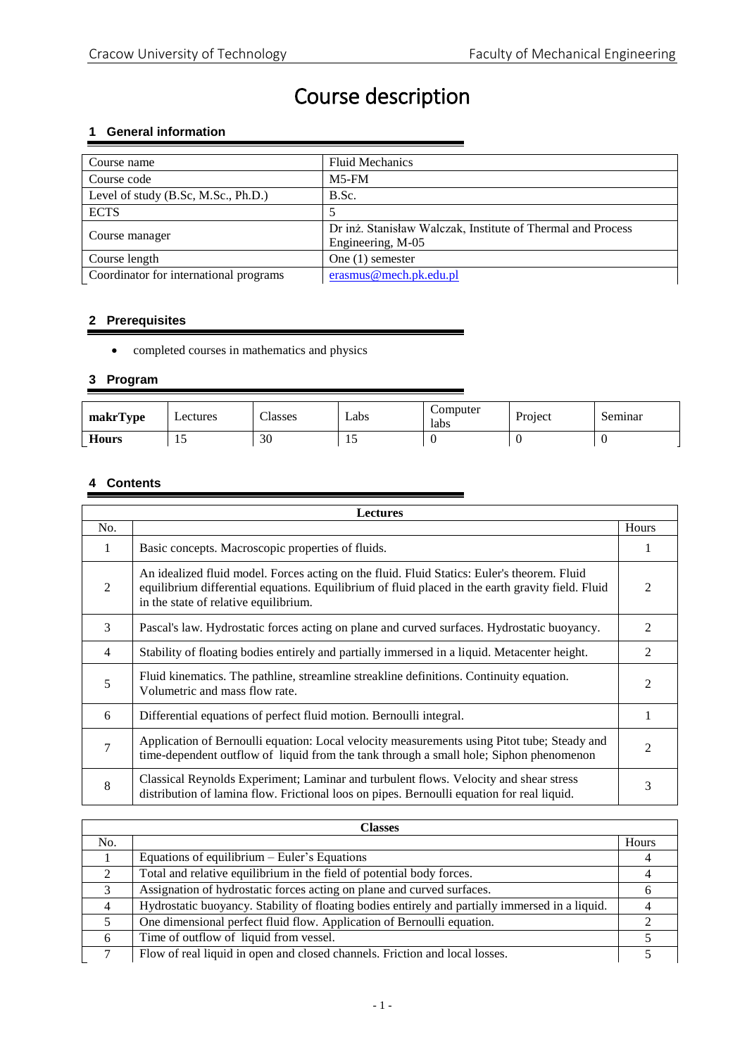# Course description

# **1 General information**

| Course name                            | <b>Fluid Mechanics</b>                                      |
|----------------------------------------|-------------------------------------------------------------|
| Course code                            | $M5$ -FM                                                    |
| Level of study (B.Sc, M.Sc., Ph.D.)    | B.Sc.                                                       |
| <b>ECTS</b>                            |                                                             |
|                                        | Dr inż. Stanisław Walczak, Institute of Thermal and Process |
| Course manager                         | Engineering, M-05                                           |
| Course length                          | One $(1)$ semester                                          |
| Coordinator for international programs | erasmus@mech.pk.edu.pl                                      |

## **2 Prerequisites**

completed courses in mathematics and physics

## **3 Program**

| makrType     | Lectures | Classes | <b>Labs</b> | Computer<br>labs | Project | Seminar |
|--------------|----------|---------|-------------|------------------|---------|---------|
| <b>Hours</b> | IJ       | 30      |             |                  |         |         |

### **4 Contents**

| <b>Lectures</b> |                                                                                                                                                                                                                                           |                |
|-----------------|-------------------------------------------------------------------------------------------------------------------------------------------------------------------------------------------------------------------------------------------|----------------|
| No.             |                                                                                                                                                                                                                                           | Hours          |
| 1               | Basic concepts. Macroscopic properties of fluids.                                                                                                                                                                                         |                |
| 2               | An idealized fluid model. Forces acting on the fluid. Fluid Statics: Euler's theorem. Fluid<br>equilibrium differential equations. Equilibrium of fluid placed in the earth gravity field. Fluid<br>in the state of relative equilibrium. | 2              |
| 3               | Pascal's law. Hydrostatic forces acting on plane and curved surfaces. Hydrostatic buoyancy.                                                                                                                                               | $\mathfrak{D}$ |
| $\overline{4}$  | Stability of floating bodies entirely and partially immersed in a liquid. Metacenter height.                                                                                                                                              | $\mathfrak{D}$ |
| 5               | Fluid kinematics. The pathline, streamline streakline definitions. Continuity equation.<br>Volumetric and mass flow rate.                                                                                                                 | 2              |
| 6               | Differential equations of perfect fluid motion. Bernoulli integral.                                                                                                                                                                       |                |
| 7               | Application of Bernoulli equation: Local velocity measurements using Pitot tube; Steady and<br>time-dependent outflow of liquid from the tank through a small hole; Siphon phenomenon                                                     | $\mathfrak{D}$ |
| 8               | Classical Reynolds Experiment; Laminar and turbulent flows. Velocity and shear stress<br>distribution of lamina flow. Frictional loos on pipes. Bernoulli equation for real liquid.                                                       | 3              |

| Classes       |                                                                                                 |       |
|---------------|-------------------------------------------------------------------------------------------------|-------|
| No.           |                                                                                                 | Hours |
|               | Equations of equilibrium $-$ Euler's Equations                                                  |       |
| 2             | Total and relative equilibrium in the field of potential body forces.                           |       |
| $\mathcal{R}$ | Assignation of hydrostatic forces acting on plane and curved surfaces.                          |       |
|               | Hydrostatic buoyancy. Stability of floating bodies entirely and partially immersed in a liquid. |       |
|               | One dimensional perfect fluid flow. Application of Bernoulli equation.                          |       |
| 6             | Time of outflow of liquid from vessel.                                                          |       |
|               | Flow of real liquid in open and closed channels. Friction and local losses.                     |       |